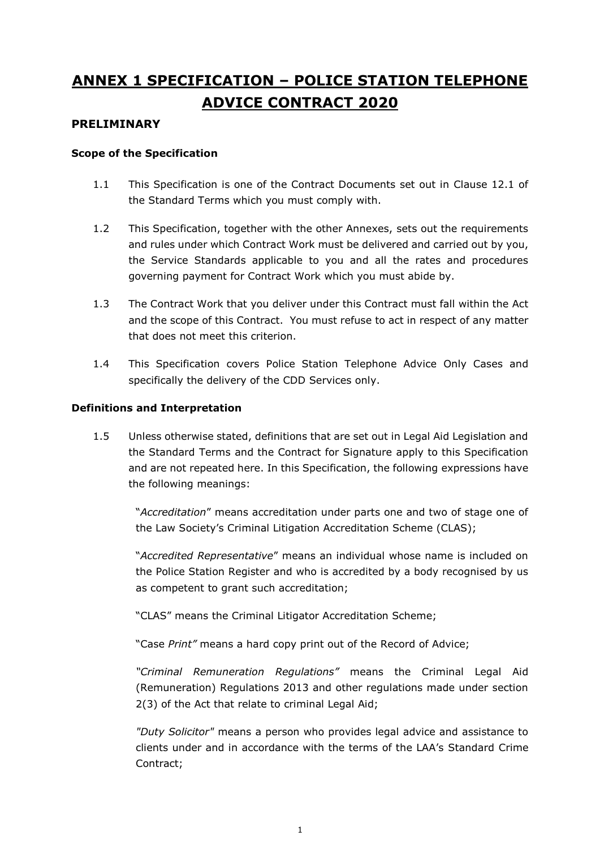# **ANNEX 1 SPECIFICATION – POLICE STATION TELEPHONE ADVICE CONTRACT 2020**

#### **PRELIMINARY**

#### **Scope of the Specification**

- 1.1 This Specification is one of the Contract Documents set out in Clause 12.1 of the Standard Terms which you must comply with.
- 1.2 This Specification, together with the other Annexes, sets out the requirements and rules under which Contract Work must be delivered and carried out by you, the Service Standards applicable to you and all the rates and procedures governing payment for Contract Work which you must abide by.
- 1.3 The Contract Work that you deliver under this Contract must fall within the Act and the scope of this Contract. You must refuse to act in respect of any matter that does not meet this criterion.
- 1.4 This Specification covers Police Station Telephone Advice Only Cases and specifically the delivery of the CDD Services only.

#### **Definitions and Interpretation**

1.5 Unless otherwise stated, definitions that are set out in Legal Aid Legislation and the Standard Terms and the Contract for Signature apply to this Specification and are not repeated here. In this Specification, the following expressions have the following meanings:

"*Accreditation*" means accreditation under parts one and two of stage one of the Law Society's Criminal Litigation Accreditation Scheme (CLAS);

"*Accredited Representative*" means an individual whose name is included on the Police Station Register and who is accredited by a body recognised by us as competent to grant such accreditation;

"CLAS" means the Criminal Litigator Accreditation Scheme;

"Case *Print"* means a hard copy print out of the Record of Advice;

*"Criminal Remuneration Regulations"* means the Criminal Legal Aid (Remuneration) Regulations 2013 and other regulations made under section 2(3) of the Act that relate to criminal Legal Aid;

*"Duty Solicitor"* means a person who provides legal advice and assistance to clients under and in accordance with the terms of the LAA's Standard Crime Contract;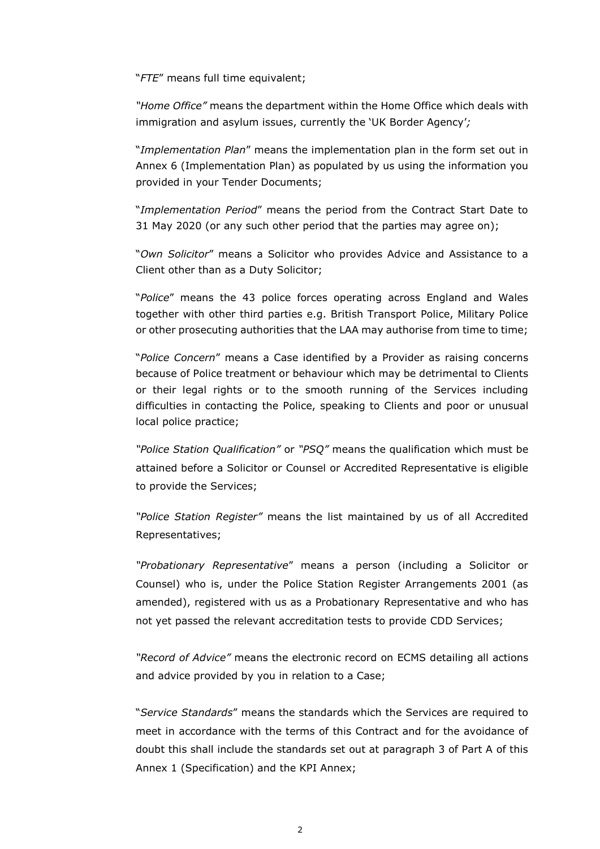"*FTE*" means full time equivalent;

*"Home Office"* means the department within the Home Office which deals with immigration and asylum issues, currently the 'UK Border Agency'*;*

"*Implementation Plan*" means the implementation plan in the form set out in Annex 6 (Implementation Plan) as populated by us using the information you provided in your Tender Documents;

"*Implementation Period*" means the period from the Contract Start Date to 31 May 2020 (or any such other period that the parties may agree on);

"*Own Solicitor*" means a Solicitor who provides Advice and Assistance to a Client other than as a Duty Solicitor;

"*Police*" means the 43 police forces operating across England and Wales together with other third parties e.g. British Transport Police, Military Police or other prosecuting authorities that the LAA may authorise from time to time;

"*Police Concern*" means a Case identified by a Provider as raising concerns because of Police treatment or behaviour which may be detrimental to Clients or their legal rights or to the smooth running of the Services including difficulties in contacting the Police, speaking to Clients and poor or unusual local police practice;

*"Police Station Qualification"* or *"PSQ"* means the qualification which must be attained before a Solicitor or Counsel or Accredited Representative is eligible to provide the Services;

*"Police Station Register"* means the list maintained by us of all Accredited Representatives;

*"Probationary Representative*" means a person (including a Solicitor or Counsel) who is, under the Police Station Register Arrangements 2001 (as amended), registered with us as a Probationary Representative and who has not yet passed the relevant accreditation tests to provide CDD Services;

*"Record of Advice"* means the electronic record on ECMS detailing all actions and advice provided by you in relation to a Case;

"*Service Standards*" means the standards which the Services are required to meet in accordance with the terms of this Contract and for the avoidance of doubt this shall include the standards set out at paragraph 3 of Part A of this Annex 1 (Specification) and the KPI Annex;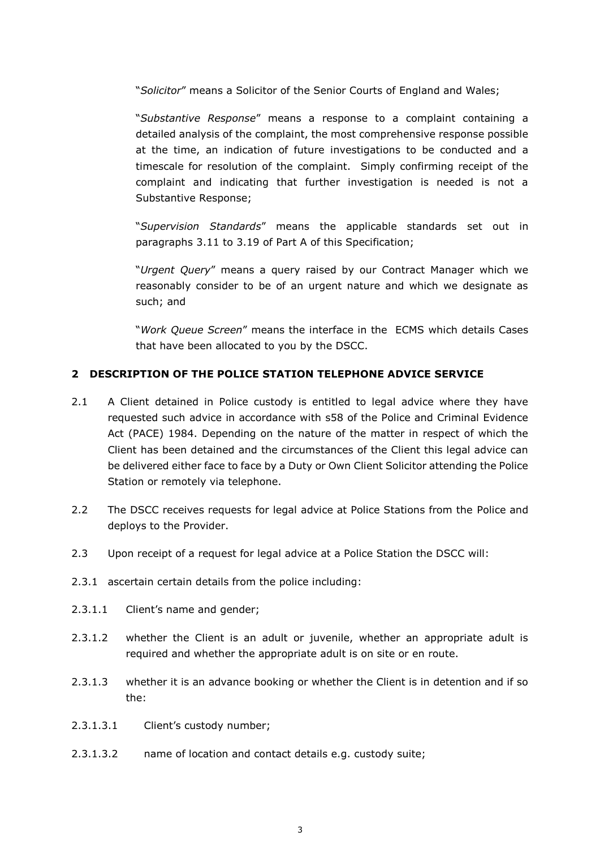"*Solicitor*" means a Solicitor of the Senior Courts of England and Wales;

"*Substantive Response*" means a response to a complaint containing a detailed analysis of the complaint, the most comprehensive response possible at the time, an indication of future investigations to be conducted and a timescale for resolution of the complaint. Simply confirming receipt of the complaint and indicating that further investigation is needed is not a Substantive Response;

"*Supervision Standards*" means the applicable standards set out in paragraphs 3.11 to 3.19 of Part A of this Specification;

"*Urgent Query*" means a query raised by our Contract Manager which we reasonably consider to be of an urgent nature and which we designate as such; and

"*Work Queue Screen*" means the interface in the ECMS which details Cases that have been allocated to you by the DSCC.

#### **2 DESCRIPTION OF THE POLICE STATION TELEPHONE ADVICE SERVICE**

- 2.1 A Client detained in Police custody is entitled to legal advice where they have requested such advice in accordance with s58 of the Police and Criminal Evidence Act (PACE) 1984. Depending on the nature of the matter in respect of which the Client has been detained and the circumstances of the Client this legal advice can be delivered either face to face by a Duty or Own Client Solicitor attending the Police Station or remotely via telephone.
- 2.2 The DSCC receives requests for legal advice at Police Stations from the Police and deploys to the Provider.
- 2.3 Upon receipt of a request for legal advice at a Police Station the DSCC will:
- 2.3.1 ascertain certain details from the police including:
- 2.3.1.1 Client's name and gender;
- 2.3.1.2 whether the Client is an adult or juvenile, whether an appropriate adult is required and whether the appropriate adult is on site or en route.
- 2.3.1.3 whether it is an advance booking or whether the Client is in detention and if so the:
- 2.3.1.3.1 Client's custody number;
- 2.3.1.3.2 name of location and contact details e.g. custody suite;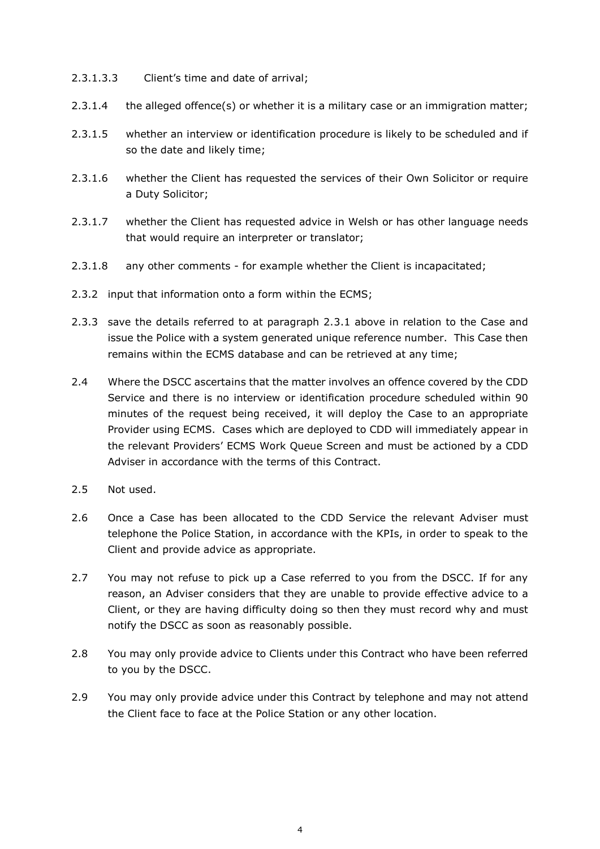- 2.3.1.3.3 Client's time and date of arrival;
- 2.3.1.4 the alleged offence(s) or whether it is a military case or an immigration matter;
- 2.3.1.5 whether an interview or identification procedure is likely to be scheduled and if so the date and likely time;
- 2.3.1.6 whether the Client has requested the services of their Own Solicitor or require a Duty Solicitor;
- 2.3.1.7 whether the Client has requested advice in Welsh or has other language needs that would require an interpreter or translator;
- 2.3.1.8 any other comments for example whether the Client is incapacitated;
- 2.3.2 input that information onto a form within the ECMS;
- 2.3.3 save the details referred to at paragraph 2.3.1 above in relation to the Case and issue the Police with a system generated unique reference number. This Case then remains within the ECMS database and can be retrieved at any time;
- 2.4 Where the DSCC ascertains that the matter involves an offence covered by the CDD Service and there is no interview or identification procedure scheduled within 90 minutes of the request being received, it will deploy the Case to an appropriate Provider using ECMS. Cases which are deployed to CDD will immediately appear in the relevant Providers' ECMS Work Queue Screen and must be actioned by a CDD Adviser in accordance with the terms of this Contract.
- 2.5 Not used.
- 2.6 Once a Case has been allocated to the CDD Service the relevant Adviser must telephone the Police Station, in accordance with the KPIs, in order to speak to the Client and provide advice as appropriate.
- 2.7 You may not refuse to pick up a Case referred to you from the DSCC. If for any reason, an Adviser considers that they are unable to provide effective advice to a Client, or they are having difficulty doing so then they must record why and must notify the DSCC as soon as reasonably possible.
- 2.8 You may only provide advice to Clients under this Contract who have been referred to you by the DSCC.
- 2.9 You may only provide advice under this Contract by telephone and may not attend the Client face to face at the Police Station or any other location.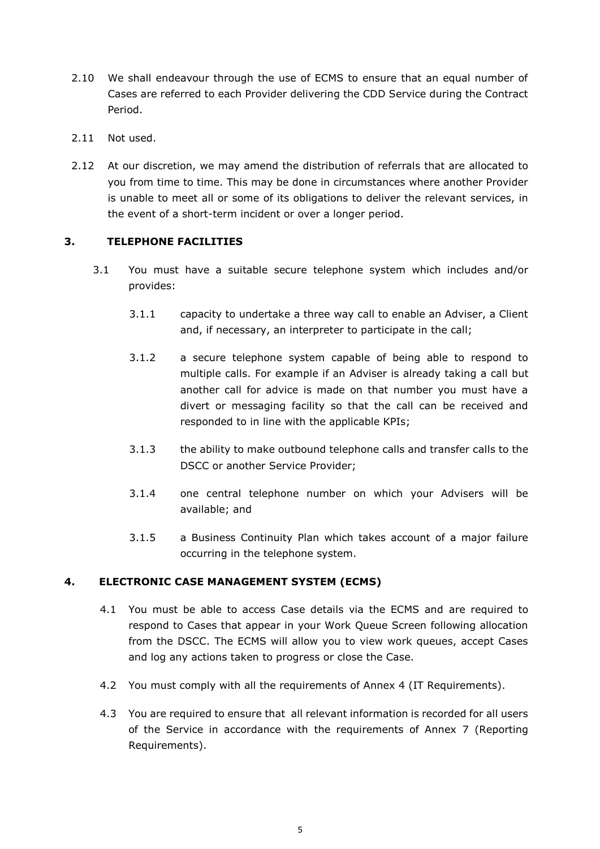- 2.10 We shall endeavour through the use of ECMS to ensure that an equal number of Cases are referred to each Provider delivering the CDD Service during the Contract Period.
- 2.11 Not used.
- 2.12 At our discretion, we may amend the distribution of referrals that are allocated to you from time to time. This may be done in circumstances where another Provider is unable to meet all or some of its obligations to deliver the relevant services, in the event of a short-term incident or over a longer period.

#### **3. TELEPHONE FACILITIES**

- 3.1 You must have a suitable secure telephone system which includes and/or provides:
	- 3.1.1 capacity to undertake a three way call to enable an Adviser, a Client and, if necessary, an interpreter to participate in the call;
	- 3.1.2 a secure telephone system capable of being able to respond to multiple calls. For example if an Adviser is already taking a call but another call for advice is made on that number you must have a divert or messaging facility so that the call can be received and responded to in line with the applicable KPIs;
	- 3.1.3 the ability to make outbound telephone calls and transfer calls to the DSCC or another Service Provider;
	- 3.1.4 one central telephone number on which your Advisers will be available; and
	- 3.1.5 a Business Continuity Plan which takes account of a major failure occurring in the telephone system.

#### **4. ELECTRONIC CASE MANAGEMENT SYSTEM (ECMS)**

- 4.1 You must be able to access Case details via the ECMS and are required to respond to Cases that appear in your Work Queue Screen following allocation from the DSCC. The ECMS will allow you to view work queues, accept Cases and log any actions taken to progress or close the Case.
- 4.2 You must comply with all the requirements of Annex 4 (IT Requirements).
- 4.3 You are required to ensure that all relevant information is recorded for all users of the Service in accordance with the requirements of Annex 7 (Reporting Requirements).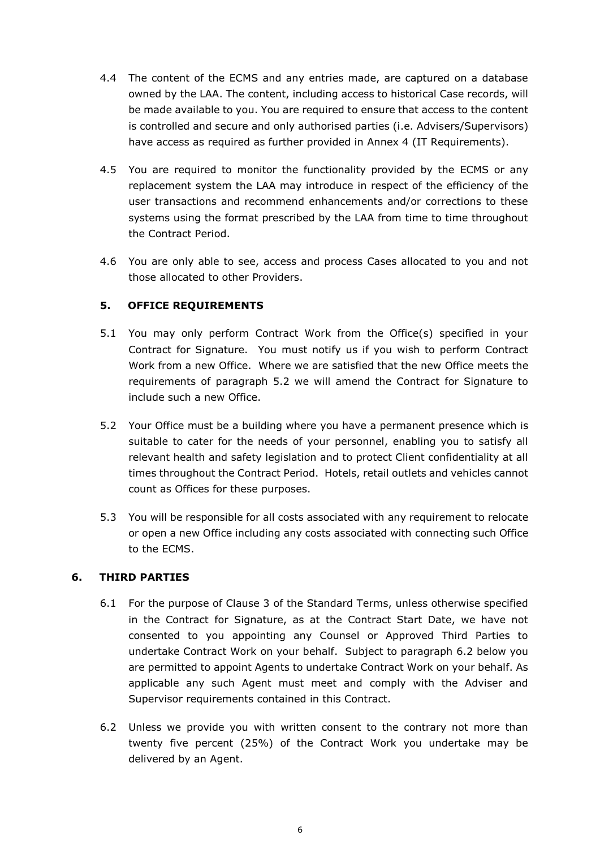- 4.4 The content of the ECMS and any entries made, are captured on a database owned by the LAA. The content, including access to historical Case records, will be made available to you. You are required to ensure that access to the content is controlled and secure and only authorised parties (i.e. Advisers/Supervisors) have access as required as further provided in Annex 4 (IT Requirements).
- 4.5 You are required to monitor the functionality provided by the ECMS or any replacement system the LAA may introduce in respect of the efficiency of the user transactions and recommend enhancements and/or corrections to these systems using the format prescribed by the LAA from time to time throughout the Contract Period.
- 4.6 You are only able to see, access and process Cases allocated to you and not those allocated to other Providers.

### **5. OFFICE REQUIREMENTS**

- 5.1 You may only perform Contract Work from the Office(s) specified in your Contract for Signature. You must notify us if you wish to perform Contract Work from a new Office. Where we are satisfied that the new Office meets the requirements of paragraph 5.2 we will amend the Contract for Signature to include such a new Office.
- 5.2 Your Office must be a building where you have a permanent presence which is suitable to cater for the needs of your personnel, enabling you to satisfy all relevant health and safety legislation and to protect Client confidentiality at all times throughout the Contract Period. Hotels, retail outlets and vehicles cannot count as Offices for these purposes.
- 5.3 You will be responsible for all costs associated with any requirement to relocate or open a new Office including any costs associated with connecting such Office to the ECMS.

### **6. THIRD PARTIES**

- 6.1 For the purpose of Clause 3 of the Standard Terms, unless otherwise specified in the Contract for Signature, as at the Contract Start Date, we have not consented to you appointing any Counsel or Approved Third Parties to undertake Contract Work on your behalf. Subject to paragraph 6.2 below you are permitted to appoint Agents to undertake Contract Work on your behalf. As applicable any such Agent must meet and comply with the Adviser and Supervisor requirements contained in this Contract.
- 6.2 Unless we provide you with written consent to the contrary not more than twenty five percent (25%) of the Contract Work you undertake may be delivered by an Agent.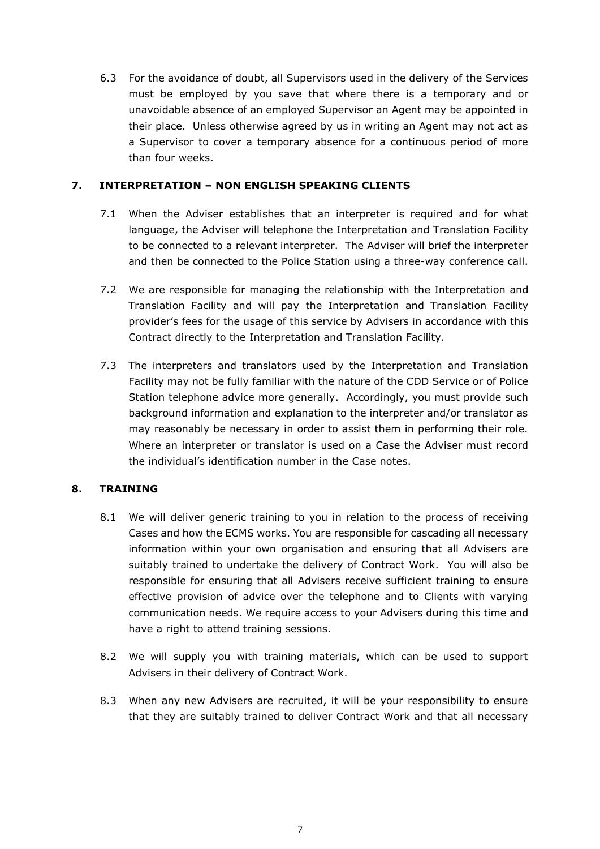6.3 For the avoidance of doubt, all Supervisors used in the delivery of the Services must be employed by you save that where there is a temporary and or unavoidable absence of an employed Supervisor an Agent may be appointed in their place. Unless otherwise agreed by us in writing an Agent may not act as a Supervisor to cover a temporary absence for a continuous period of more than four weeks.

#### **7. INTERPRETATION – NON ENGLISH SPEAKING CLIENTS**

- 7.1 When the Adviser establishes that an interpreter is required and for what language, the Adviser will telephone the Interpretation and Translation Facility to be connected to a relevant interpreter. The Adviser will brief the interpreter and then be connected to the Police Station using a three-way conference call.
- 7.2 We are responsible for managing the relationship with the Interpretation and Translation Facility and will pay the Interpretation and Translation Facility provider's fees for the usage of this service by Advisers in accordance with this Contract directly to the Interpretation and Translation Facility.
- 7.3 The interpreters and translators used by the Interpretation and Translation Facility may not be fully familiar with the nature of the CDD Service or of Police Station telephone advice more generally. Accordingly, you must provide such background information and explanation to the interpreter and/or translator as may reasonably be necessary in order to assist them in performing their role. Where an interpreter or translator is used on a Case the Adviser must record the individual's identification number in the Case notes.

### **8. TRAINING**

- 8.1 We will deliver generic training to you in relation to the process of receiving Cases and how the ECMS works. You are responsible for cascading all necessary information within your own organisation and ensuring that all Advisers are suitably trained to undertake the delivery of Contract Work. You will also be responsible for ensuring that all Advisers receive sufficient training to ensure effective provision of advice over the telephone and to Clients with varying communication needs. We require access to your Advisers during this time and have a right to attend training sessions.
- 8.2 We will supply you with training materials, which can be used to support Advisers in their delivery of Contract Work.
- 8.3 When any new Advisers are recruited, it will be your responsibility to ensure that they are suitably trained to deliver Contract Work and that all necessary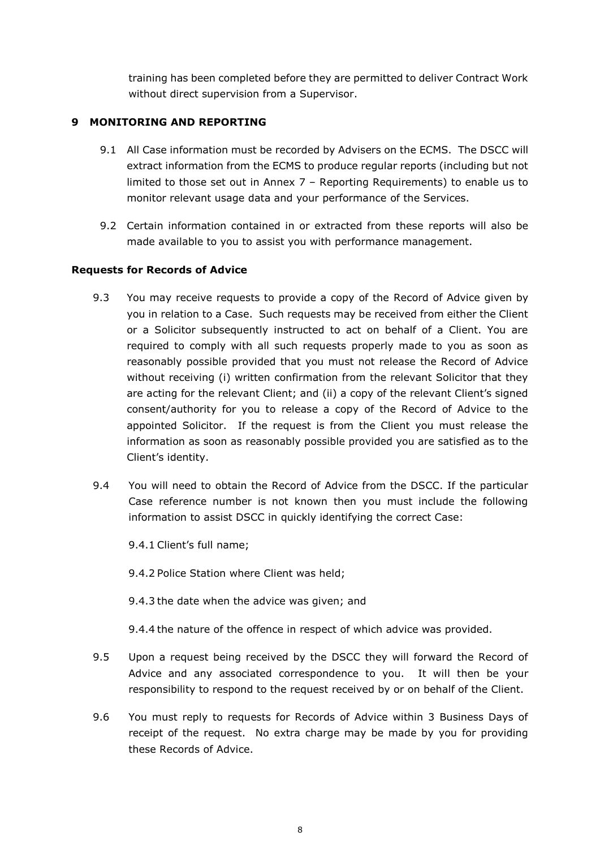training has been completed before they are permitted to deliver Contract Work without direct supervision from a Supervisor.

#### **9 MONITORING AND REPORTING**

- 9.1 All Case information must be recorded by Advisers on the ECMS. The DSCC will extract information from the ECMS to produce regular reports (including but not limited to those set out in Annex 7 – Reporting Requirements) to enable us to monitor relevant usage data and your performance of the Services.
- 9.2 Certain information contained in or extracted from these reports will also be made available to you to assist you with performance management.

#### **Requests for Records of Advice**

- 9.3 You may receive requests to provide a copy of the Record of Advice given by you in relation to a Case. Such requests may be received from either the Client or a Solicitor subsequently instructed to act on behalf of a Client. You are required to comply with all such requests properly made to you as soon as reasonably possible provided that you must not release the Record of Advice without receiving (i) written confirmation from the relevant Solicitor that they are acting for the relevant Client; and (ii) a copy of the relevant Client's signed consent/authority for you to release a copy of the Record of Advice to the appointed Solicitor. If the request is from the Client you must release the information as soon as reasonably possible provided you are satisfied as to the Client's identity.
- 9.4 You will need to obtain the Record of Advice from the DSCC. If the particular Case reference number is not known then you must include the following information to assist DSCC in quickly identifying the correct Case:

9.4.1 Client's full name;

9.4.2 Police Station where Client was held;

9.4.3 the date when the advice was given; and

9.4.4 the nature of the offence in respect of which advice was provided.

- 9.5 Upon a request being received by the DSCC they will forward the Record of Advice and any associated correspondence to you. It will then be your responsibility to respond to the request received by or on behalf of the Client.
- 9.6 You must reply to requests for Records of Advice within 3 Business Days of receipt of the request. No extra charge may be made by you for providing these Records of Advice.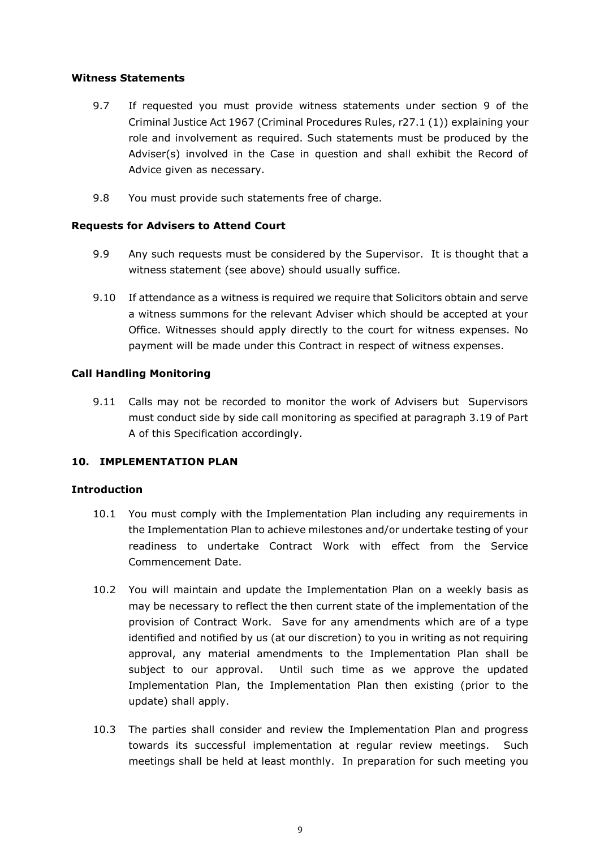#### **Witness Statements**

- 9.7 If requested you must provide witness statements under section 9 of the Criminal Justice Act 1967 (Criminal Procedures Rules, r27.1 (1)) explaining your role and involvement as required. Such statements must be produced by the Adviser(s) involved in the Case in question and shall exhibit the Record of Advice given as necessary.
- 9.8 You must provide such statements free of charge.

#### **Requests for Advisers to Attend Court**

- 9.9 Any such requests must be considered by the Supervisor. It is thought that a witness statement (see above) should usually suffice.
- 9.10 If attendance as a witness is required we require that Solicitors obtain and serve a witness summons for the relevant Adviser which should be accepted at your Office. Witnesses should apply directly to the court for witness expenses. No payment will be made under this Contract in respect of witness expenses.

#### **Call Handling Monitoring**

9.11 Calls may not be recorded to monitor the work of Advisers but Supervisors must conduct side by side call monitoring as specified at paragraph 3.19 of Part A of this Specification accordingly.

#### **10. IMPLEMENTATION PLAN**

#### **Introduction**

- 10.1 You must comply with the Implementation Plan including any requirements in the Implementation Plan to achieve milestones and/or undertake testing of your readiness to undertake Contract Work with effect from the Service Commencement Date.
- 10.2 You will maintain and update the Implementation Plan on a weekly basis as may be necessary to reflect the then current state of the implementation of the provision of Contract Work. Save for any amendments which are of a type identified and notified by us (at our discretion) to you in writing as not requiring approval, any material amendments to the Implementation Plan shall be subject to our approval. Until such time as we approve the updated Implementation Plan, the Implementation Plan then existing (prior to the update) shall apply.
- 10.3 The parties shall consider and review the Implementation Plan and progress towards its successful implementation at regular review meetings. Such meetings shall be held at least monthly. In preparation for such meeting you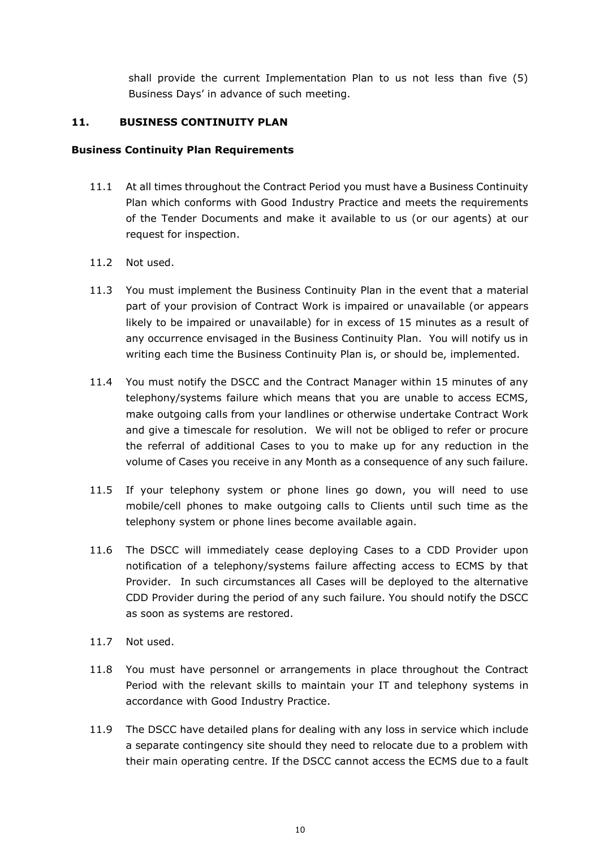shall provide the current Implementation Plan to us not less than five (5) Business Days' in advance of such meeting.

#### **11. BUSINESS CONTINUITY PLAN**

#### **Business Continuity Plan Requirements**

- 11.1 At all times throughout the Contract Period you must have a Business Continuity Plan which conforms with Good Industry Practice and meets the requirements of the Tender Documents and make it available to us (or our agents) at our request for inspection.
- 11.2 Not used.
- 11.3 You must implement the Business Continuity Plan in the event that a material part of your provision of Contract Work is impaired or unavailable (or appears likely to be impaired or unavailable) for in excess of 15 minutes as a result of any occurrence envisaged in the Business Continuity Plan. You will notify us in writing each time the Business Continuity Plan is, or should be, implemented.
- 11.4 You must notify the DSCC and the Contract Manager within 15 minutes of any telephony/systems failure which means that you are unable to access ECMS, make outgoing calls from your landlines or otherwise undertake Contract Work and give a timescale for resolution. We will not be obliged to refer or procure the referral of additional Cases to you to make up for any reduction in the volume of Cases you receive in any Month as a consequence of any such failure.
- 11.5 If your telephony system or phone lines go down, you will need to use mobile/cell phones to make outgoing calls to Clients until such time as the telephony system or phone lines become available again.
- 11.6 The DSCC will immediately cease deploying Cases to a CDD Provider upon notification of a telephony/systems failure affecting access to ECMS by that Provider. In such circumstances all Cases will be deployed to the alternative CDD Provider during the period of any such failure. You should notify the DSCC as soon as systems are restored.
- 11.7 Not used.
- 11.8 You must have personnel or arrangements in place throughout the Contract Period with the relevant skills to maintain your IT and telephony systems in accordance with Good Industry Practice.
- 11.9 The DSCC have detailed plans for dealing with any loss in service which include a separate contingency site should they need to relocate due to a problem with their main operating centre. If the DSCC cannot access the ECMS due to a fault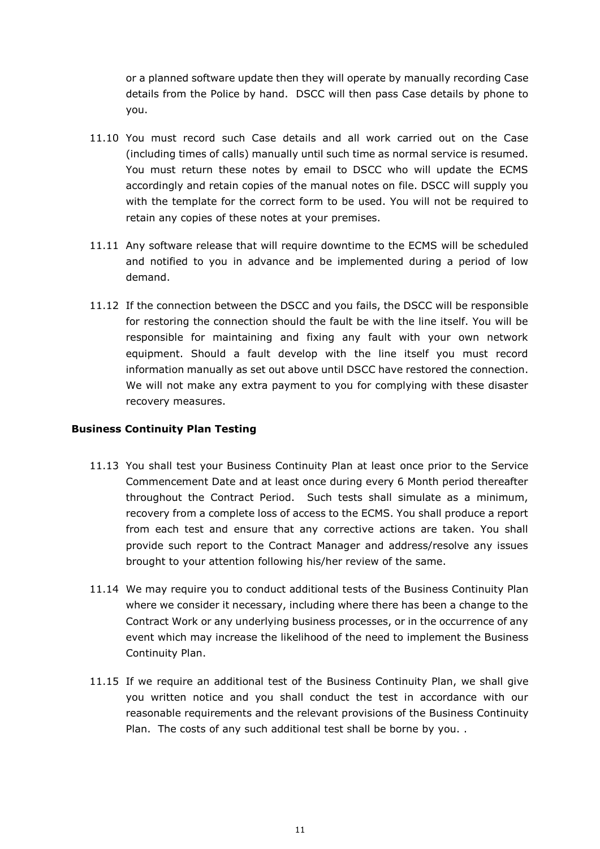or a planned software update then they will operate by manually recording Case details from the Police by hand. DSCC will then pass Case details by phone to you.

- 11.10 You must record such Case details and all work carried out on the Case (including times of calls) manually until such time as normal service is resumed. You must return these notes by email to DSCC who will update the ECMS accordingly and retain copies of the manual notes on file. DSCC will supply you with the template for the correct form to be used. You will not be required to retain any copies of these notes at your premises.
- 11.11 Any software release that will require downtime to the ECMS will be scheduled and notified to you in advance and be implemented during a period of low demand.
- 11.12 If the connection between the DSCC and you fails, the DSCC will be responsible for restoring the connection should the fault be with the line itself. You will be responsible for maintaining and fixing any fault with your own network equipment. Should a fault develop with the line itself you must record information manually as set out above until DSCC have restored the connection. We will not make any extra payment to you for complying with these disaster recovery measures.

#### **Business Continuity Plan Testing**

- 11.13 You shall test your Business Continuity Plan at least once prior to the Service Commencement Date and at least once during every 6 Month period thereafter throughout the Contract Period. Such tests shall simulate as a minimum, recovery from a complete loss of access to the ECMS. You shall produce a report from each test and ensure that any corrective actions are taken. You shall provide such report to the Contract Manager and address/resolve any issues brought to your attention following his/her review of the same.
- 11.14 We may require you to conduct additional tests of the Business Continuity Plan where we consider it necessary, including where there has been a change to the Contract Work or any underlying business processes, or in the occurrence of any event which may increase the likelihood of the need to implement the Business Continuity Plan.
- 11.15 If we require an additional test of the Business Continuity Plan, we shall give you written notice and you shall conduct the test in accordance with our reasonable requirements and the relevant provisions of the Business Continuity Plan. The costs of any such additional test shall be borne by you. .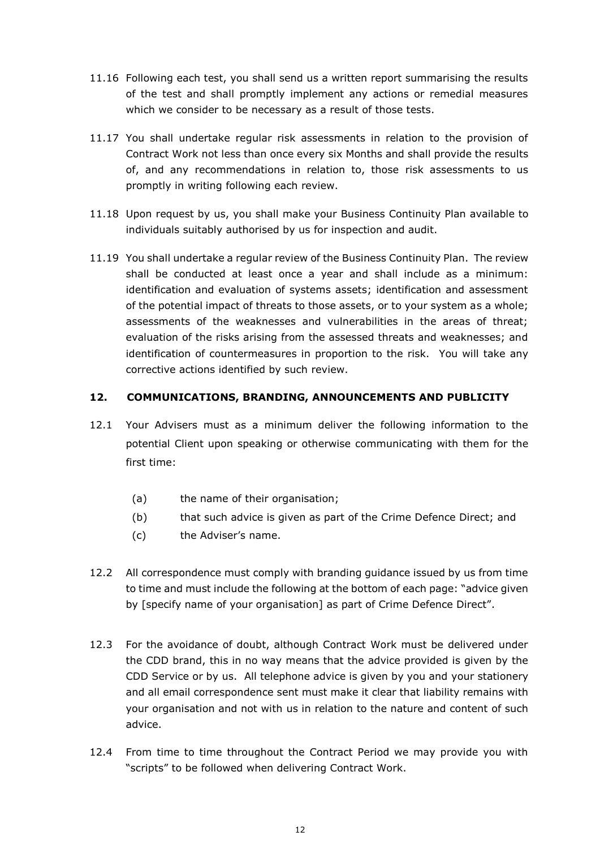- 11.16 Following each test, you shall send us a written report summarising the results of the test and shall promptly implement any actions or remedial measures which we consider to be necessary as a result of those tests.
- 11.17 You shall undertake regular risk assessments in relation to the provision of Contract Work not less than once every six Months and shall provide the results of, and any recommendations in relation to, those risk assessments to us promptly in writing following each review.
- 11.18 Upon request by us, you shall make your Business Continuity Plan available to individuals suitably authorised by us for inspection and audit.
- 11.19 You shall undertake a regular review of the Business Continuity Plan. The review shall be conducted at least once a year and shall include as a minimum: identification and evaluation of systems assets; identification and assessment of the potential impact of threats to those assets, or to your system as a whole; assessments of the weaknesses and vulnerabilities in the areas of threat; evaluation of the risks arising from the assessed threats and weaknesses; and identification of countermeasures in proportion to the risk. You will take any corrective actions identified by such review.

#### **12. COMMUNICATIONS, BRANDING, ANNOUNCEMENTS AND PUBLICITY**

- 12.1 Your Advisers must as a minimum deliver the following information to the potential Client upon speaking or otherwise communicating with them for the first time:
	- (a) the name of their organisation;
	- (b) that such advice is given as part of the Crime Defence Direct; and
	- (c) the Adviser's name.
- 12.2 All correspondence must comply with branding guidance issued by us from time to time and must include the following at the bottom of each page: "advice given by [specify name of your organisation] as part of Crime Defence Direct".
- 12.3 For the avoidance of doubt, although Contract Work must be delivered under the CDD brand, this in no way means that the advice provided is given by the CDD Service or by us. All telephone advice is given by you and your stationery and all email correspondence sent must make it clear that liability remains with your organisation and not with us in relation to the nature and content of such advice.
- 12.4 From time to time throughout the Contract Period we may provide you with "scripts" to be followed when delivering Contract Work.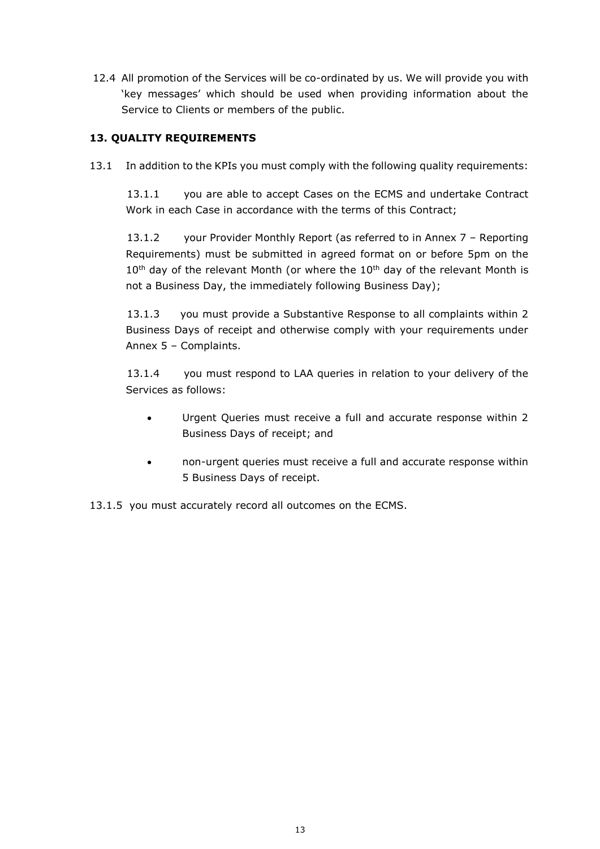12.4 All promotion of the Services will be co-ordinated by us. We will provide you with 'key messages' which should be used when providing information about the Service to Clients or members of the public.

### **13. QUALITY REQUIREMENTS**

13.1 In addition to the KPIs you must comply with the following quality requirements:

13.1.1 you are able to accept Cases on the ECMS and undertake Contract Work in each Case in accordance with the terms of this Contract;

13.1.2 your Provider Monthly Report (as referred to in Annex 7 – Reporting Requirements) must be submitted in agreed format on or before 5pm on the  $10<sup>th</sup>$  day of the relevant Month (or where the  $10<sup>th</sup>$  day of the relevant Month is not a Business Day, the immediately following Business Day);

13.1.3 you must provide a Substantive Response to all complaints within 2 Business Days of receipt and otherwise comply with your requirements under Annex 5 – Complaints.

13.1.4 you must respond to LAA queries in relation to your delivery of the Services as follows:

- Urgent Queries must receive a full and accurate response within 2 Business Days of receipt; and
- non-urgent queries must receive a full and accurate response within 5 Business Days of receipt.

13.1.5 you must accurately record all outcomes on the ECMS.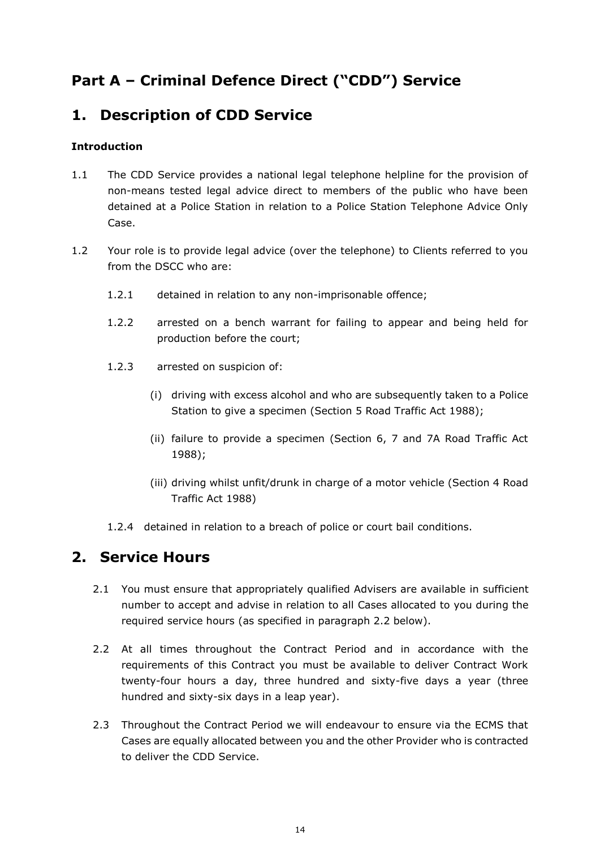## **Part A – Criminal Defence Direct ("CDD") Service**

## **1. Description of CDD Service**

### **Introduction**

- 1.1 The CDD Service provides a national legal telephone helpline for the provision of non-means tested legal advice direct to members of the public who have been detained at a Police Station in relation to a Police Station Telephone Advice Only Case.
- 1.2 Your role is to provide legal advice (over the telephone) to Clients referred to you from the DSCC who are:
	- 1.2.1 detained in relation to any non-imprisonable offence;
	- 1.2.2 arrested on a bench warrant for failing to appear and being held for production before the court;
	- 1.2.3 arrested on suspicion of:
		- (i) driving with excess alcohol and who are subsequently taken to a Police Station to give a specimen (Section 5 Road Traffic Act 1988);
		- (ii) failure to provide a specimen (Section 6, 7 and 7A Road Traffic Act 1988);
		- (iii) driving whilst unfit/drunk in charge of a motor vehicle (Section 4 Road Traffic Act 1988)
	- 1.2.4 detained in relation to a breach of police or court bail conditions.

## **2. Service Hours**

- 2.1 You must ensure that appropriately qualified Advisers are available in sufficient number to accept and advise in relation to all Cases allocated to you during the required service hours (as specified in paragraph 2.2 below).
- 2.2 At all times throughout the Contract Period and in accordance with the requirements of this Contract you must be available to deliver Contract Work twenty-four hours a day, three hundred and sixty-five days a year (three hundred and sixty-six days in a leap year).
- 2.3 Throughout the Contract Period we will endeavour to ensure via the ECMS that Cases are equally allocated between you and the other Provider who is contracted to deliver the CDD Service.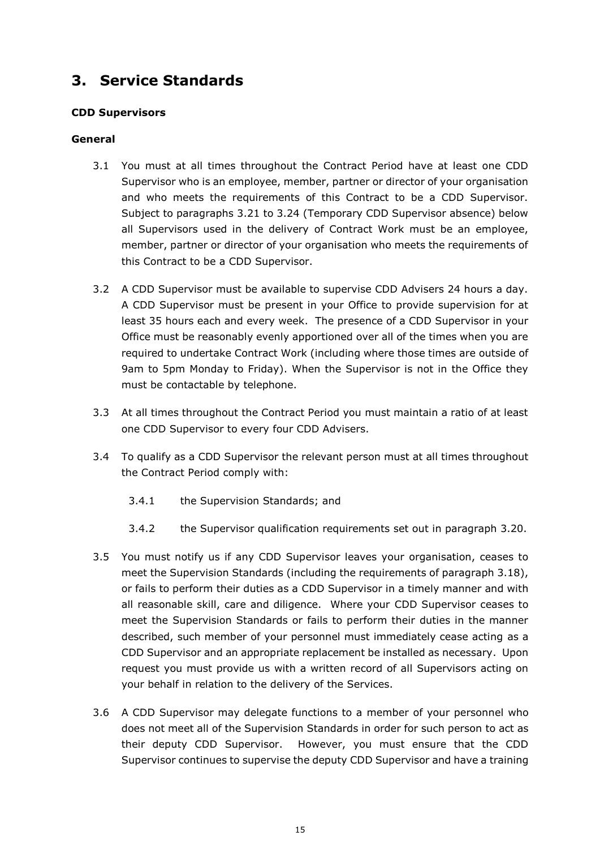## **3. Service Standards**

#### **CDD Supervisors**

#### **General**

- 3.1 You must at all times throughout the Contract Period have at least one CDD Supervisor who is an employee, member, partner or director of your organisation and who meets the requirements of this Contract to be a CDD Supervisor. Subject to paragraphs 3.21 to 3.24 (Temporary CDD Supervisor absence) below all Supervisors used in the delivery of Contract Work must be an employee, member, partner or director of your organisation who meets the requirements of this Contract to be a CDD Supervisor.
- 3.2 A CDD Supervisor must be available to supervise CDD Advisers 24 hours a day. A CDD Supervisor must be present in your Office to provide supervision for at least 35 hours each and every week. The presence of a CDD Supervisor in your Office must be reasonably evenly apportioned over all of the times when you are required to undertake Contract Work (including where those times are outside of 9am to 5pm Monday to Friday). When the Supervisor is not in the Office they must be contactable by telephone.
- 3.3 At all times throughout the Contract Period you must maintain a ratio of at least one CDD Supervisor to every four CDD Advisers.
- 3.4 To qualify as a CDD Supervisor the relevant person must at all times throughout the Contract Period comply with:
	- 3.4.1 the Supervision Standards; and
	- 3.4.2 the Supervisor qualification requirements set out in paragraph 3.20.
- 3.5 You must notify us if any CDD Supervisor leaves your organisation, ceases to meet the Supervision Standards (including the requirements of paragraph 3.18), or fails to perform their duties as a CDD Supervisor in a timely manner and with all reasonable skill, care and diligence. Where your CDD Supervisor ceases to meet the Supervision Standards or fails to perform their duties in the manner described, such member of your personnel must immediately cease acting as a CDD Supervisor and an appropriate replacement be installed as necessary. Upon request you must provide us with a written record of all Supervisors acting on your behalf in relation to the delivery of the Services.
- 3.6 A CDD Supervisor may delegate functions to a member of your personnel who does not meet all of the Supervision Standards in order for such person to act as their deputy CDD Supervisor. However, you must ensure that the CDD Supervisor continues to supervise the deputy CDD Supervisor and have a training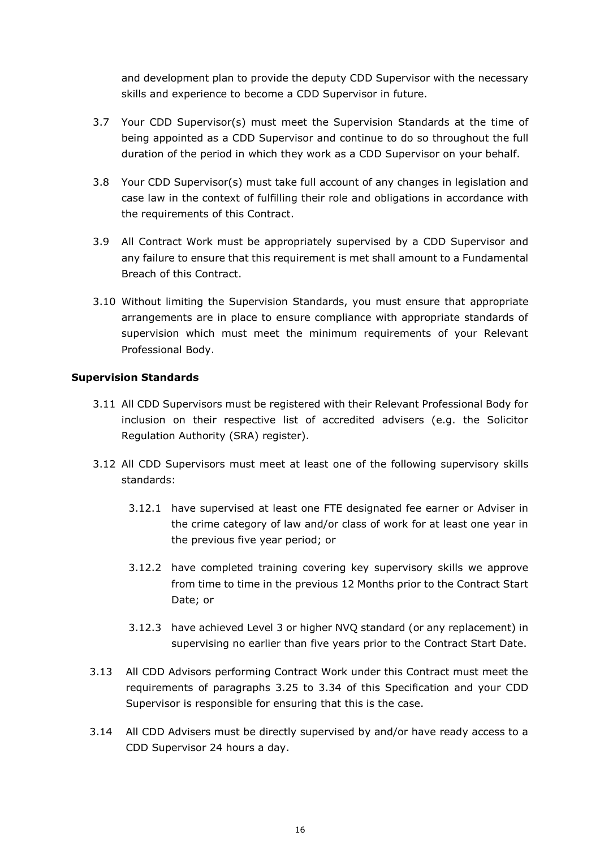and development plan to provide the deputy CDD Supervisor with the necessary skills and experience to become a CDD Supervisor in future.

- 3.7 Your CDD Supervisor(s) must meet the Supervision Standards at the time of being appointed as a CDD Supervisor and continue to do so throughout the full duration of the period in which they work as a CDD Supervisor on your behalf.
- 3.8 Your CDD Supervisor(s) must take full account of any changes in legislation and case law in the context of fulfilling their role and obligations in accordance with the requirements of this Contract.
- 3.9 All Contract Work must be appropriately supervised by a CDD Supervisor and any failure to ensure that this requirement is met shall amount to a Fundamental Breach of this Contract.
- 3.10 Without limiting the Supervision Standards, you must ensure that appropriate arrangements are in place to ensure compliance with appropriate standards of supervision which must meet the minimum requirements of your Relevant Professional Body.

#### **Supervision Standards**

- 3.11 All CDD Supervisors must be registered with their Relevant Professional Body for inclusion on their respective list of accredited advisers (e.g. the Solicitor Regulation Authority (SRA) register).
- 3.12 All CDD Supervisors must meet at least one of the following supervisory skills standards:
	- 3.12.1 have supervised at least one FTE designated fee earner or Adviser in the crime category of law and/or class of work for at least one year in the previous five year period; or
	- 3.12.2 have completed training covering key supervisory skills we approve from time to time in the previous 12 Months prior to the Contract Start Date; or
	- 3.12.3 have achieved Level 3 or higher NVQ standard (or any replacement) in supervising no earlier than five years prior to the Contract Start Date.
- 3.13 All CDD Advisors performing Contract Work under this Contract must meet the requirements of paragraphs 3.25 to 3.34 of this Specification and your CDD Supervisor is responsible for ensuring that this is the case.
- 3.14 All CDD Advisers must be directly supervised by and/or have ready access to a CDD Supervisor 24 hours a day.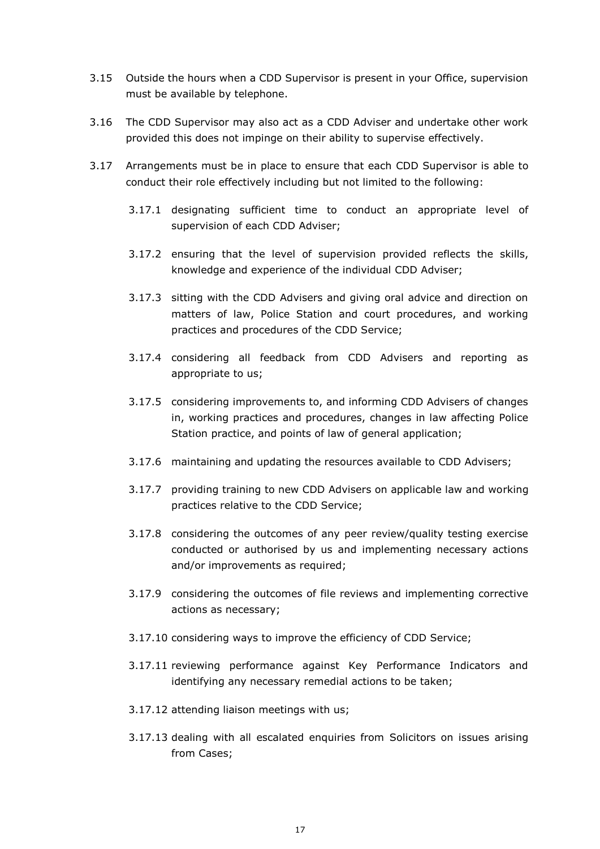- 3.15 Outside the hours when a CDD Supervisor is present in your Office, supervision must be available by telephone.
- 3.16 The CDD Supervisor may also act as a CDD Adviser and undertake other work provided this does not impinge on their ability to supervise effectively.
- 3.17 Arrangements must be in place to ensure that each CDD Supervisor is able to conduct their role effectively including but not limited to the following:
	- 3.17.1 designating sufficient time to conduct an appropriate level of supervision of each CDD Adviser;
	- 3.17.2 ensuring that the level of supervision provided reflects the skills, knowledge and experience of the individual CDD Adviser;
	- 3.17.3 sitting with the CDD Advisers and giving oral advice and direction on matters of law, Police Station and court procedures, and working practices and procedures of the CDD Service;
	- 3.17.4 considering all feedback from CDD Advisers and reporting as appropriate to us;
	- 3.17.5 considering improvements to, and informing CDD Advisers of changes in, working practices and procedures, changes in law affecting Police Station practice, and points of law of general application;
	- 3.17.6 maintaining and updating the resources available to CDD Advisers;
	- 3.17.7 providing training to new CDD Advisers on applicable law and working practices relative to the CDD Service;
	- 3.17.8 considering the outcomes of any peer review/quality testing exercise conducted or authorised by us and implementing necessary actions and/or improvements as required;
	- 3.17.9 considering the outcomes of file reviews and implementing corrective actions as necessary;
	- 3.17.10 considering ways to improve the efficiency of CDD Service;
	- 3.17.11 reviewing performance against Key Performance Indicators and identifying any necessary remedial actions to be taken;
	- 3.17.12 attending liaison meetings with us;
	- 3.17.13 dealing with all escalated enquiries from Solicitors on issues arising from Cases;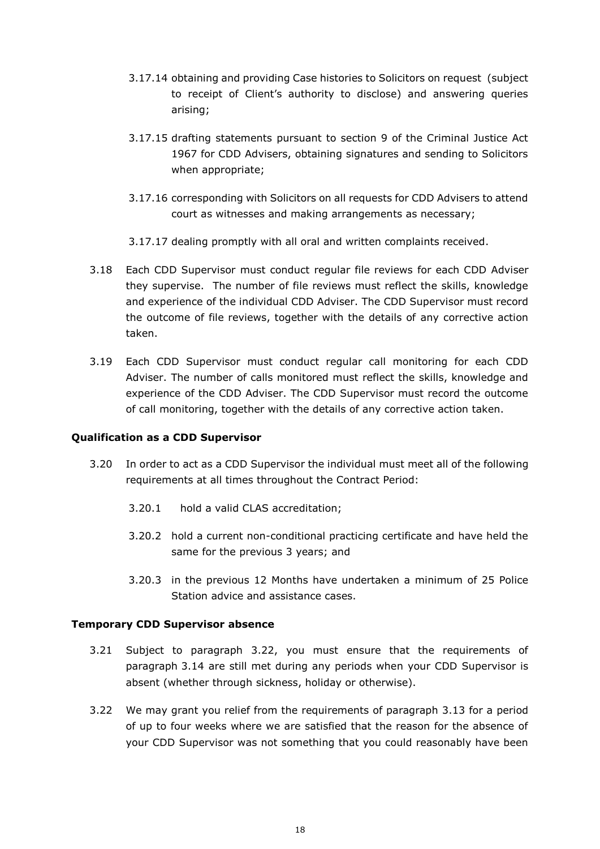- 3.17.14 obtaining and providing Case histories to Solicitors on request (subject to receipt of Client's authority to disclose) and answering queries arising;
- 3.17.15 drafting statements pursuant to section 9 of the Criminal Justice Act 1967 for CDD Advisers, obtaining signatures and sending to Solicitors when appropriate;
- 3.17.16 corresponding with Solicitors on all requests for CDD Advisers to attend court as witnesses and making arrangements as necessary;
- 3.17.17 dealing promptly with all oral and written complaints received.
- 3.18 Each CDD Supervisor must conduct regular file reviews for each CDD Adviser they supervise. The number of file reviews must reflect the skills, knowledge and experience of the individual CDD Adviser. The CDD Supervisor must record the outcome of file reviews, together with the details of any corrective action taken.
- 3.19 Each CDD Supervisor must conduct regular call monitoring for each CDD Adviser. The number of calls monitored must reflect the skills, knowledge and experience of the CDD Adviser. The CDD Supervisor must record the outcome of call monitoring, together with the details of any corrective action taken.

#### **Qualification as a CDD Supervisor**

- 3.20 In order to act as a CDD Supervisor the individual must meet all of the following requirements at all times throughout the Contract Period:
	- 3.20.1 hold a valid CLAS accreditation;
	- 3.20.2 hold a current non-conditional practicing certificate and have held the same for the previous 3 years; and
	- 3.20.3 in the previous 12 Months have undertaken a minimum of 25 Police Station advice and assistance cases.

#### **Temporary CDD Supervisor absence**

- 3.21 Subject to paragraph 3.22, you must ensure that the requirements of paragraph 3.14 are still met during any periods when your CDD Supervisor is absent (whether through sickness, holiday or otherwise).
- 3.22 We may grant you relief from the requirements of paragraph 3.13 for a period of up to four weeks where we are satisfied that the reason for the absence of your CDD Supervisor was not something that you could reasonably have been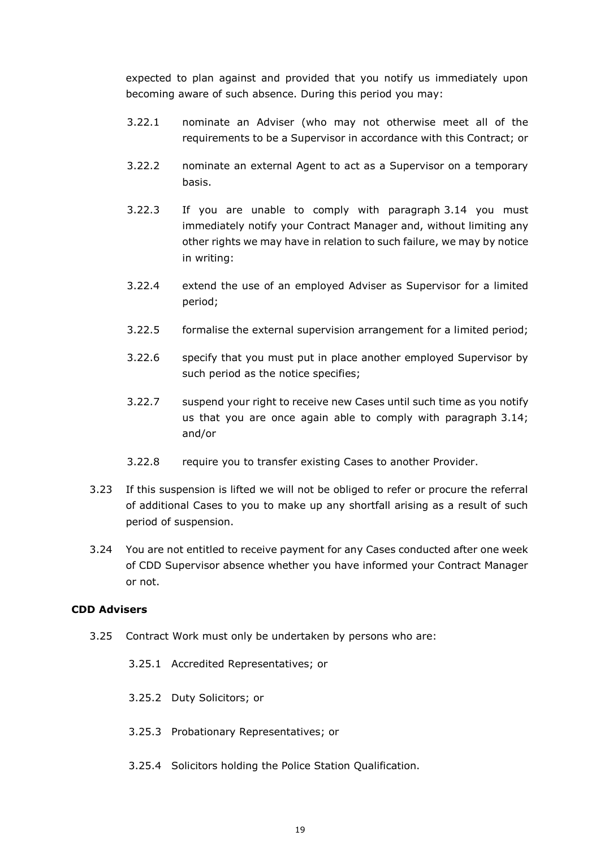expected to plan against and provided that you notify us immediately upon becoming aware of such absence. During this period you may:

- 3.22.1 nominate an Adviser (who may not otherwise meet all of the requirements to be a Supervisor in accordance with this Contract; or
- 3.22.2 nominate an external Agent to act as a Supervisor on a temporary basis.
- 3.22.3 If you are unable to comply with paragraph 3.14 you must immediately notify your Contract Manager and, without limiting any other rights we may have in relation to such failure, we may by notice in writing:
- 3.22.4 extend the use of an employed Adviser as Supervisor for a limited period;
- 3.22.5 formalise the external supervision arrangement for a limited period;
- 3.22.6 specify that you must put in place another employed Supervisor by such period as the notice specifies;
- 3.22.7 suspend your right to receive new Cases until such time as you notify us that you are once again able to comply with paragraph 3.14; and/or
- 3.22.8 require you to transfer existing Cases to another Provider.
- 3.23 If this suspension is lifted we will not be obliged to refer or procure the referral of additional Cases to you to make up any shortfall arising as a result of such period of suspension.
- 3.24 You are not entitled to receive payment for any Cases conducted after one week of CDD Supervisor absence whether you have informed your Contract Manager or not.

#### **CDD Advisers**

- <span id="page-18-0"></span>3.25 Contract Work must only be undertaken by persons who are:
	- 3.25.1 Accredited Representatives; or
	- 3.25.2 Duty Solicitors; or
	- 3.25.3 Probationary Representatives; or
	- 3.25.4 Solicitors holding the Police Station Qualification.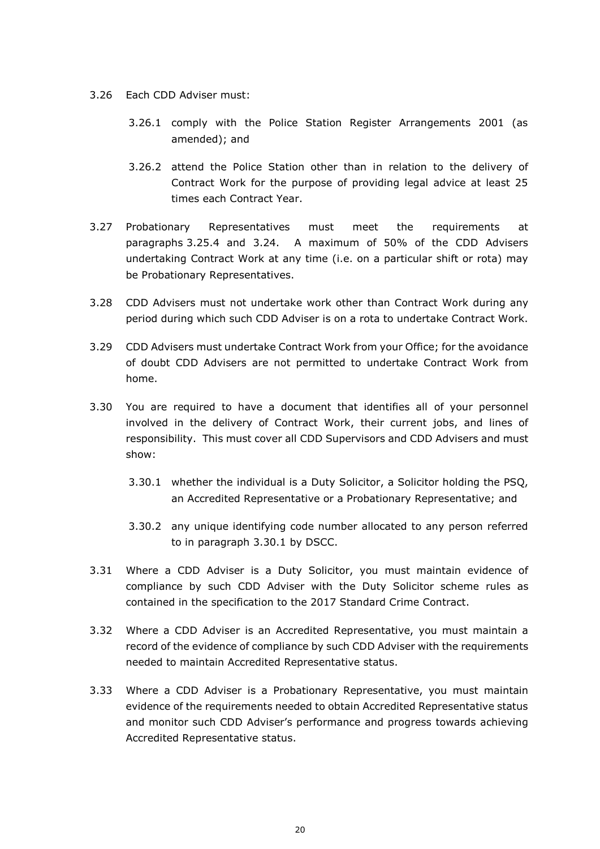- 3.26 Each CDD Adviser must:
	- 3.26.1 comply with the Police Station Register Arrangements 2001 (as amended); and
	- 3.26.2 attend the Police Station other than in relation to the delivery of Contract Work for the purpose of providing legal advice at least 25 times each Contract Year.
- 3.27 Probationary Representatives must meet the requirements at paragraphs [3.25.4](#page-18-0) and 3.24. A maximum of 50% of the CDD Advisers undertaking Contract Work at any time (i.e. on a particular shift or rota) may be Probationary Representatives.
- 3.28 CDD Advisers must not undertake work other than Contract Work during any period during which such CDD Adviser is on a rota to undertake Contract Work.
- 3.29 CDD Advisers must undertake Contract Work from your Office; for the avoidance of doubt CDD Advisers are not permitted to undertake Contract Work from home.
- <span id="page-19-0"></span>3.30 You are required to have a document that identifies all of your personnel involved in the delivery of Contract Work, their current jobs, and lines of responsibility. This must cover all CDD Supervisors and CDD Advisers and must show:
	- 3.30.1 whether the individual is a Duty Solicitor, a Solicitor holding the PSQ, an Accredited Representative or a Probationary Representative; and
	- 3.30.2 any unique identifying code number allocated to any person referred to in paragraph [3.30.1](#page-19-0) by DSCC.
- 3.31 Where a CDD Adviser is a Duty Solicitor, you must maintain evidence of compliance by such CDD Adviser with the Duty Solicitor scheme rules as contained in the specification to the 2017 Standard Crime Contract.
- 3.32 Where a CDD Adviser is an Accredited Representative, you must maintain a record of the evidence of compliance by such CDD Adviser with the requirements needed to maintain Accredited Representative status.
- 3.33 Where a CDD Adviser is a Probationary Representative, you must maintain evidence of the requirements needed to obtain Accredited Representative status and monitor such CDD Adviser's performance and progress towards achieving Accredited Representative status.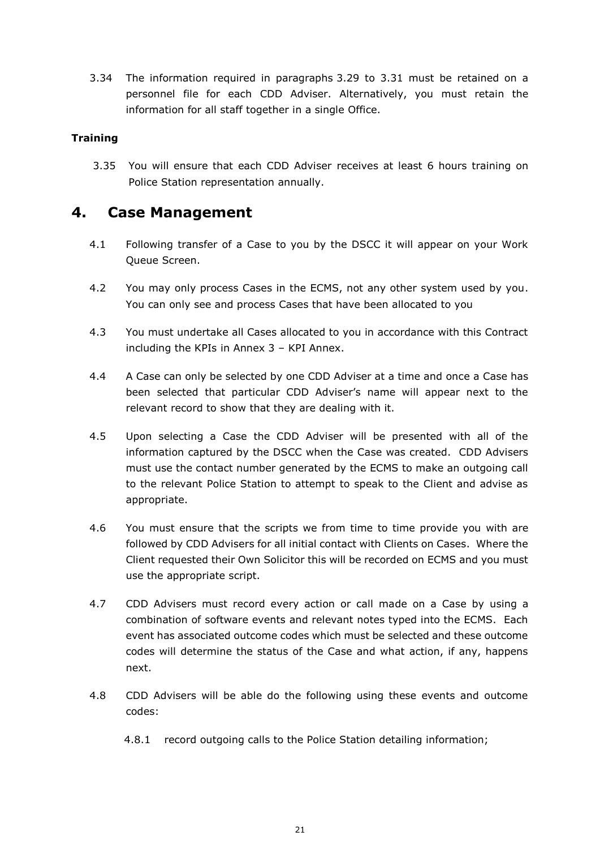3.34 The information required in paragraphs 3.29 to 3.31 must be retained on a personnel file for each CDD Adviser. Alternatively, you must retain the information for all staff together in a single Office.

#### **Training**

3.35 You will ensure that each CDD Adviser receives at least 6 hours training on Police Station representation annually.

## **4. Case Management**

- 4.1 Following transfer of a Case to you by the DSCC it will appear on your Work Queue Screen.
- 4.2 You may only process Cases in the ECMS, not any other system used by you. You can only see and process Cases that have been allocated to you
- 4.3 You must undertake all Cases allocated to you in accordance with this Contract including the KPIs in Annex 3 – KPI Annex.
- 4.4 A Case can only be selected by one CDD Adviser at a time and once a Case has been selected that particular CDD Adviser's name will appear next to the relevant record to show that they are dealing with it.
- 4.5 Upon selecting a Case the CDD Adviser will be presented with all of the information captured by the DSCC when the Case was created. CDD Advisers must use the contact number generated by the ECMS to make an outgoing call to the relevant Police Station to attempt to speak to the Client and advise as appropriate.
- 4.6 You must ensure that the scripts we from time to time provide you with are followed by CDD Advisers for all initial contact with Clients on Cases. Where the Client requested their Own Solicitor this will be recorded on ECMS and you must use the appropriate script.
- 4.7 CDD Advisers must record every action or call made on a Case by using a combination of software events and relevant notes typed into the ECMS. Each event has associated outcome codes which must be selected and these outcome codes will determine the status of the Case and what action, if any, happens next.
- 4.8 CDD Advisers will be able do the following using these events and outcome codes:
	- 4.8.1 record outgoing calls to the Police Station detailing information;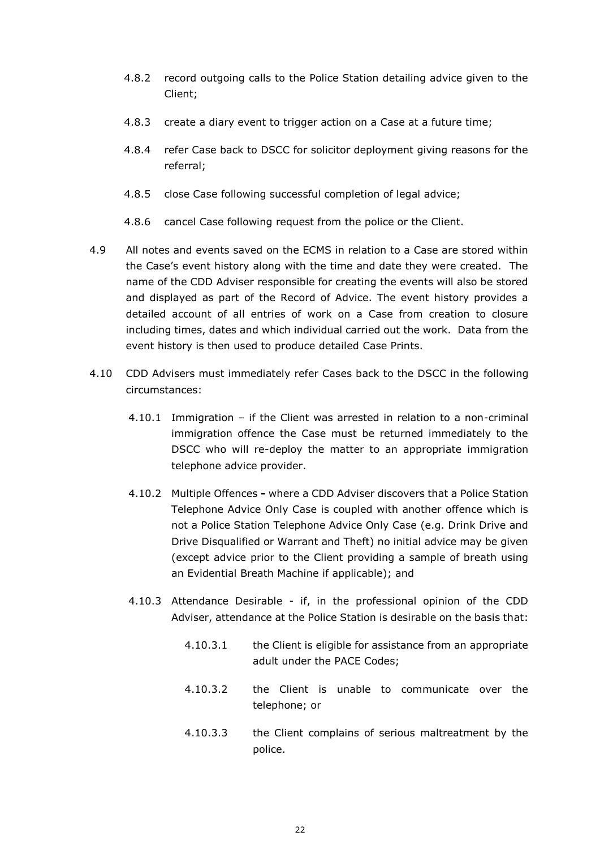- 4.8.2 record outgoing calls to the Police Station detailing advice given to the Client;
- 4.8.3 create a diary event to trigger action on a Case at a future time;
- 4.8.4 refer Case back to DSCC for solicitor deployment giving reasons for the referral;
- 4.8.5 close Case following successful completion of legal advice;
- 4.8.6 cancel Case following request from the police or the Client.
- 4.9 All notes and events saved on the ECMS in relation to a Case are stored within the Case's event history along with the time and date they were created. The name of the CDD Adviser responsible for creating the events will also be stored and displayed as part of the Record of Advice. The event history provides a detailed account of all entries of work on a Case from creation to closure including times, dates and which individual carried out the work. Data from the event history is then used to produce detailed Case Prints.
- <span id="page-21-0"></span>4.10 CDD Advisers must immediately refer Cases back to the DSCC in the following circumstances:
	- 4.10.1 Immigration if the Client was arrested in relation to a non-criminal immigration offence the Case must be returned immediately to the DSCC who will re-deploy the matter to an appropriate immigration telephone advice provider.
	- 4.10.2 Multiple Offences **-** where a CDD Adviser discovers that a Police Station Telephone Advice Only Case is coupled with another offence which is not a Police Station Telephone Advice Only Case (e.g. Drink Drive and Drive Disqualified or Warrant and Theft) no initial advice may be given (except advice prior to the Client providing a sample of breath using an Evidential Breath Machine if applicable); and
	- 4.10.3 Attendance Desirable if, in the professional opinion of the CDD Adviser, attendance at the Police Station is desirable on the basis that:
		- 4.10.3.1 the Client is eligible for assistance from an appropriate adult under the PACE Codes;
		- 4.10.3.2 the Client is unable to communicate over the telephone; or
		- 4.10.3.3 the Client complains of serious maltreatment by the police.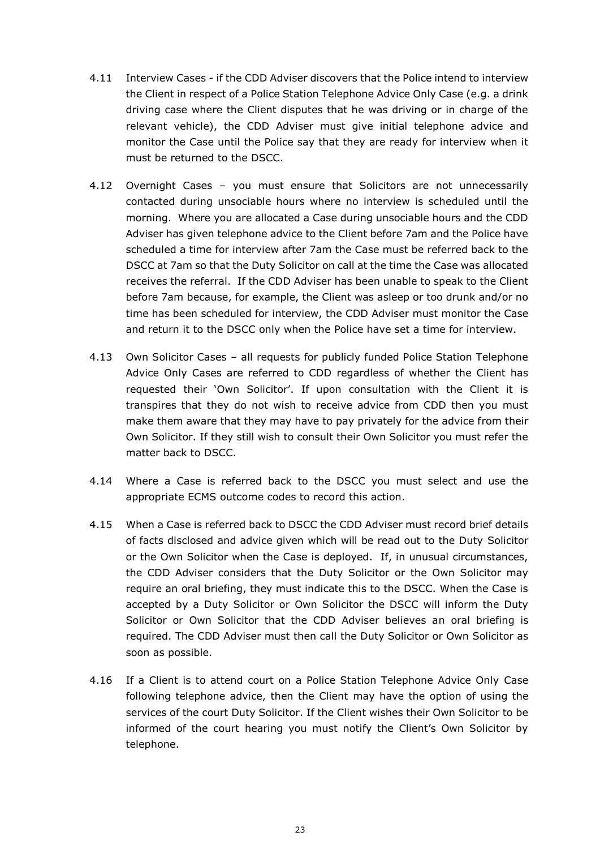- 4.11 Interview Cases if the CDD Adviser discovers that the Police intend to interview the Client in respect of a Police Station Telephone Advice Only Case (e.g. a drink driving case where the Client disputes that he was driving or in charge of the relevant vehicle), the CDD Adviser must give initial telephone advice and monitor the Case until the Police say that they are ready for interview when it must be returned to the DSCC.
- 4.12 Overnight Cases you must ensure that Solicitors are not unnecessarily contacted during unsociable hours where no interview is scheduled until the morning. Where you are allocated a Case during unsociable hours and the CDD Adviser has given telephone advice to the Client before 7am and the Police have scheduled a time for interview after 7am the Case must be referred back to the DSCC at 7am so that the Duty Solicitor on call at the time the Case was allocated receives the referral. If the CDD Adviser has been unable to speak to the Client before 7am because, for example, the Client was asleep or too drunk and/or no time has been scheduled for interview, the CDD Adviser must monitor the Case and return it to the DSCC only when the Police have set a time for interview.
- <span id="page-22-0"></span>4.13 Own Solicitor Cases – all requests for publicly funded Police Station Telephone Advice Only Cases are referred to CDD regardless of whether the Client has requested their 'Own Solicitor'. If upon consultation with the Client it is transpires that they do not wish to receive advice from CDD then you must make them aware that they may have to pay privately for the advice from their Own Solicitor. If they still wish to consult their Own Solicitor you must refer the matter back to DSCC.
- 4.14 Where a Case is referred back to the DSCC you must select and use the appropriate ECMS outcome codes to record this action.
- 4.15 When a Case is referred back to DSCC the CDD Adviser must record brief details of facts disclosed and advice given which will be read out to the Duty Solicitor or the Own Solicitor when the Case is deployed. If, in unusual circumstances, the CDD Adviser considers that the Duty Solicitor or the Own Solicitor may require an oral briefing, they must indicate this to the DSCC. When the Case is accepted by a Duty Solicitor or Own Solicitor the DSCC will inform the Duty Solicitor or Own Solicitor that the CDD Adviser believes an oral briefing is required. The CDD Adviser must then call the Duty Solicitor or Own Solicitor as soon as possible.
- 4.16 If a Client is to attend court on a Police Station Telephone Advice Only Case following telephone advice, then the Client may have the option of using the services of the court Duty Solicitor. If the Client wishes their Own Solicitor to be informed of the court hearing you must notify the Client's Own Solicitor by telephone.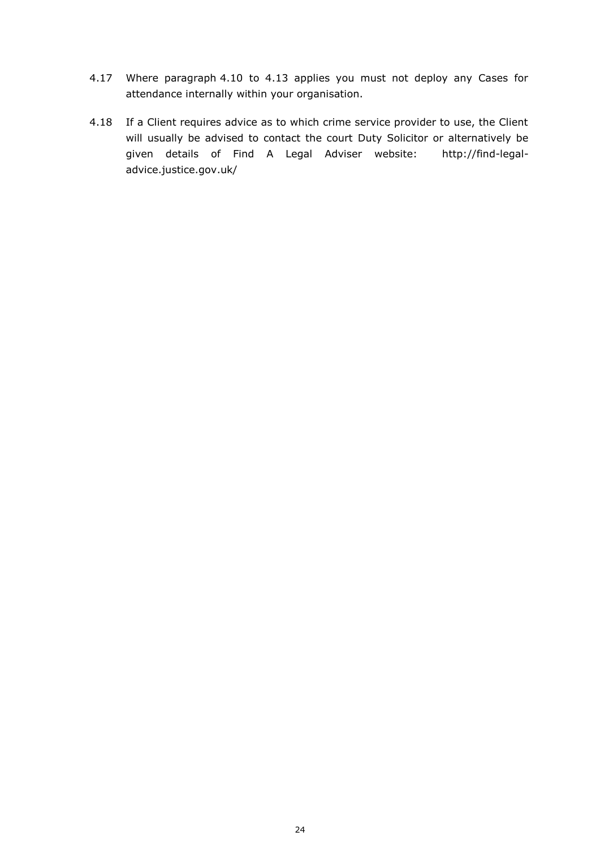- 4.17 Where paragraph [4.10](#page-21-0) to [4.13](#page-22-0) applies you must not deploy any Cases for attendance internally within your organisation.
- 4.18 If a Client requires advice as to which crime service provider to use, the Client will usually be advised to contact the court Duty Solicitor or alternatively be given details of Find A Legal Adviser website: http://find-legaladvice.justice.gov.uk/